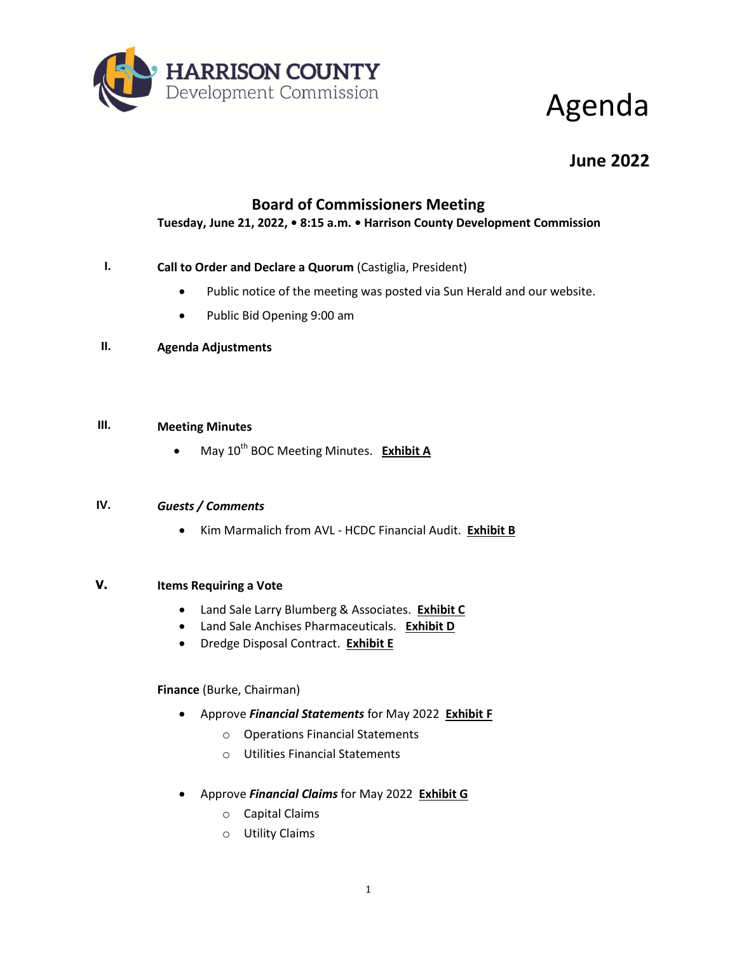

## Agenda

### **June 2022**

### **Board of Commissioners Meeting**

**Tuesday, June 21, 2022, • 8:15 a.m. • Harrison County Development Commission**

#### **I. Call to Order and Declare a Quorum** (Castiglia, President)

- Public notice of the meeting was posted via Sun Herald and our website.
- Public Bid Opening 9:00 am
- **II. Agenda Adjustments**

#### **III. Meeting Minutes**

• May 10<sup>th</sup> BOC Meeting Minutes. **Exhibit A** 

#### **IV.** *Guests / Comments*

Kim Marmalich from AVL - HCDC Financial Audit. **Exhibit B**

#### **V. Items Requiring a Vote**

- Land Sale Larry Blumberg & Associates. **Exhibit C**
- Land Sale Anchises Pharmaceuticals. **Exhibit D**
- Dredge Disposal Contract. **Exhibit E**

#### **Finance** (Burke, Chairman)

- Approve *Financial Statements* for May 2022 **Exhibit F**
	- o Operations Financial Statements
	- o Utilities Financial Statements
- Approve *Financial Claims* for May 2022 **Exhibit G**
	- o Capital Claims
	- o Utility Claims